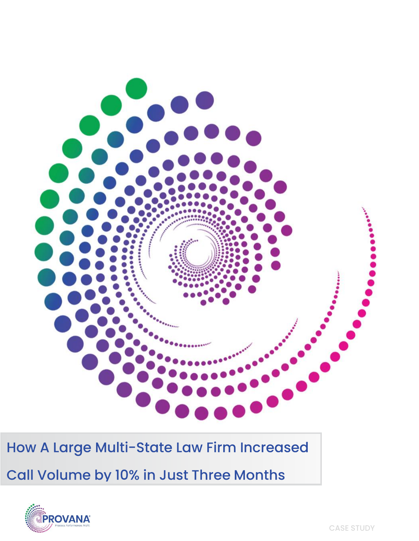

How A Large Multi-State Law Firm Increased

Call Volume by 10% in Just Three Months

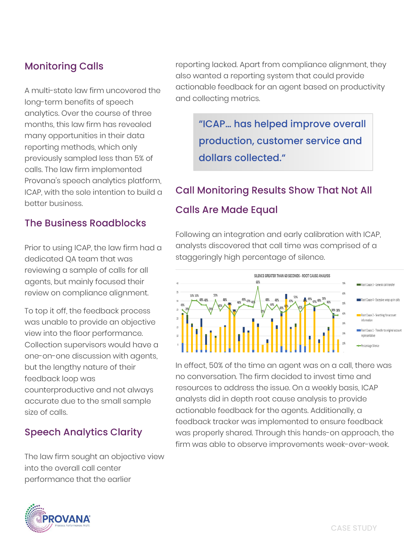### **Monitoring Calls**

A multi-state law firm uncovered the long-term benefits of speech analytics. Over the course of three months, this law firm has revealed many opportunities in their data reporting methods, which only previously sampled less than 5% of calls. The law firm implemented Provana's speech analytics platform, ICAP, with the sole intention to build a better business.

#### **The Business Roadblocks**

Prior to using ICAP, the law firm had a dedicated QA team that was reviewing a sample of calls for all agents, but mainly focused their review on compliance alignment.

To top it off, the feedback process was unable to provide an objective view into the floor performance. Collection supervisors would have a one-on-one discussion with agents, but the lengthy nature of their feedback loop was counterproductive and not always accurate due to the small sample size of calls.

#### **Speech Analytics Clarity**

The law firm sought an objective view into the overall call center performance that the earlier



"ICAP... has helped improve overall production, customer service and dollars collected."

## **Call Monitoring Results Show That Not All**

#### **Calls Are Made Equal**

Following an integration and early calibration with ICAP, analysts discovered that call time was comprised of a staggeringly high percentage of silence.



In effect, 50% of the time an agent was on a call, there was no conversation. The firm decided to invest time and resources to address the issue. On a weekly basis, ICAP analysts did in depth root cause analysis to provide actionable feedback for the agents. Additionally, a feedback tracker was implemented to ensure feedback was properly shared. Through this hands-on approach, the firm was able to observe improvements week-over-week.